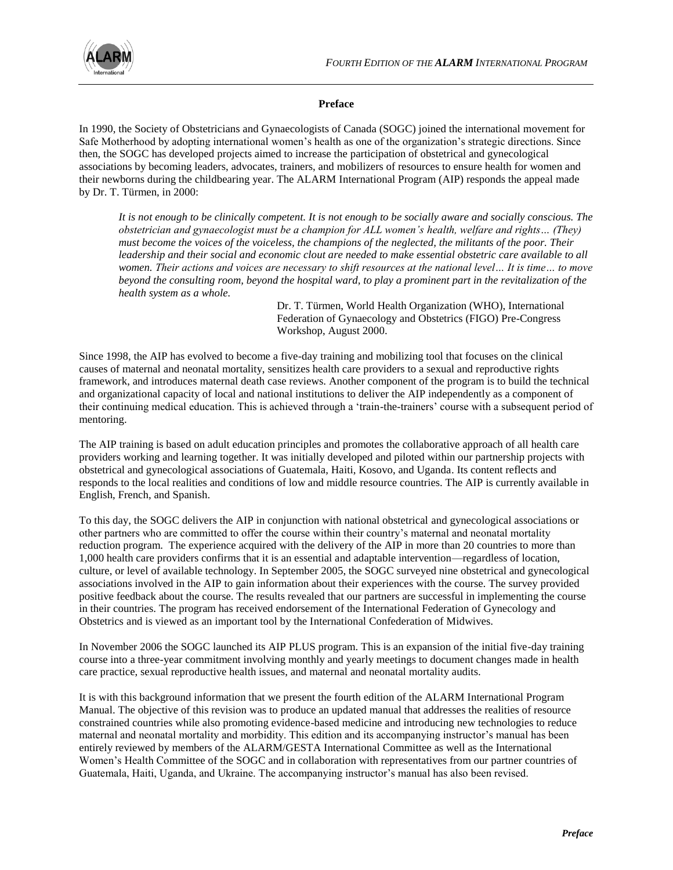

## **Preface**

In 1990, the Society of Obstetricians and Gynaecologists of Canada (SOGC) joined the international movement for Safe Motherhood by adopting international women's health as one of the organization's strategic directions. Since then, the SOGC has developed projects aimed to increase the participation of obstetrical and gynecological associations by becoming leaders, advocates, trainers, and mobilizers of resources to ensure health for women and their newborns during the childbearing year. The ALARM International Program (AIP) responds the appeal made by Dr. T. Türmen, in 2000:

*It is not enough to be clinically competent. It is not enough to be socially aware and socially conscious. The obstetrician and gynaecologist must be a champion for ALL women's health, welfare and rights… (They) must become the voices of the voiceless, the champions of the neglected, the militants of the poor. Their leadership and their social and economic clout are needed to make essential obstetric care available to all women. Their actions and voices are necessary to shift resources at the national level… It is time… to move beyond the consulting room, beyond the hospital ward, to play a prominent part in the revitalization of the health system as a whole.*

> Dr. T. Türmen, World Health Organization (WHO), International Federation of Gynaecology and Obstetrics (FIGO) Pre-Congress Workshop, August 2000.

Since 1998, the AIP has evolved to become a five-day training and mobilizing tool that focuses on the clinical causes of maternal and neonatal mortality, sensitizes health care providers to a sexual and reproductive rights framework, and introduces maternal death case reviews. Another component of the program is to build the technical and organizational capacity of local and national institutions to deliver the AIP independently as a component of their continuing medical education. This is achieved through a 'train-the-trainers' course with a subsequent period of mentoring.

The AIP training is based on adult education principles and promotes the collaborative approach of all health care providers working and learning together. It was initially developed and piloted within our partnership projects with obstetrical and gynecological associations of Guatemala, Haiti, Kosovo, and Uganda. Its content reflects and responds to the local realities and conditions of low and middle resource countries. The AIP is currently available in English, French, and Spanish.

To this day, the SOGC delivers the AIP in conjunction with national obstetrical and gynecological associations or other partners who are committed to offer the course within their country's maternal and neonatal mortality reduction program. The experience acquired with the delivery of the AIP in more than 20 countries to more than 1,000 health care providers confirms that it is an essential and adaptable intervention—regardless of location, culture, or level of available technology. In September 2005, the SOGC surveyed nine obstetrical and gynecological associations involved in the AIP to gain information about their experiences with the course. The survey provided positive feedback about the course. The results revealed that our partners are successful in implementing the course in their countries. The program has received endorsement of the International Federation of Gynecology and Obstetrics and is viewed as an important tool by the International Confederation of Midwives.

In November 2006 the SOGC launched its AIP PLUS program. This is an expansion of the initial five-day training course into a three-year commitment involving monthly and yearly meetings to document changes made in health care practice, sexual reproductive health issues, and maternal and neonatal mortality audits.

It is with this background information that we present the fourth edition of the ALARM International Program Manual. The objective of this revision was to produce an updated manual that addresses the realities of resource constrained countries while also promoting evidence-based medicine and introducing new technologies to reduce maternal and neonatal mortality and morbidity. This edition and its accompanying instructor's manual has been entirely reviewed by members of the ALARM/GESTA International Committee as well as the International Women's Health Committee of the SOGC and in collaboration with representatives from our partner countries of Guatemala, Haiti, Uganda, and Ukraine. The accompanying instructor's manual has also been revised.